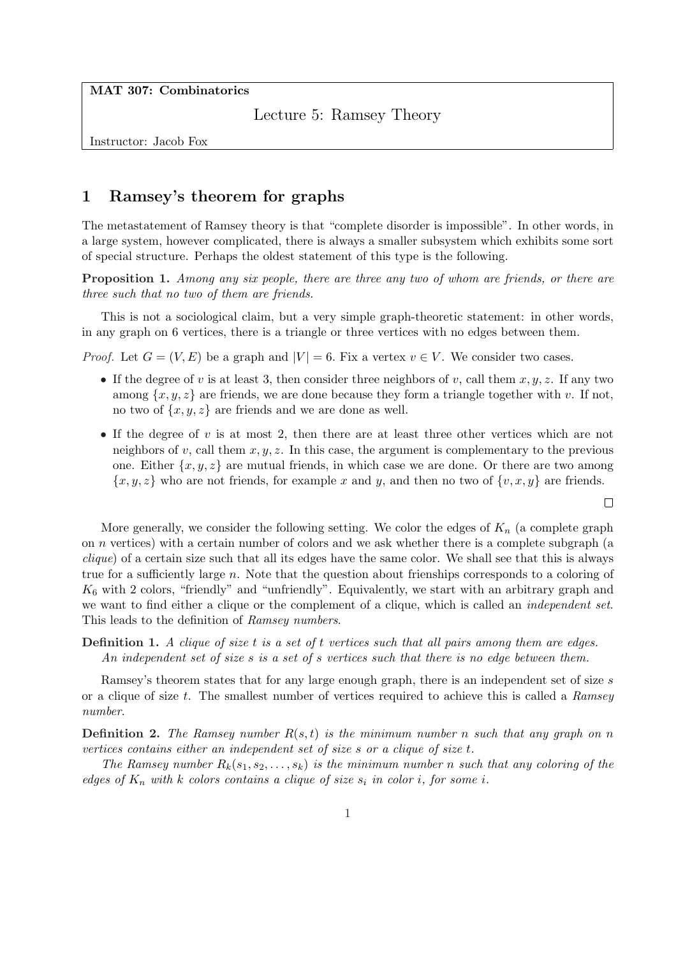MAT 307: Combinatorics

Lecture 5: Ramsey Theory

Instructor: Jacob Fox

## 1 Ramsey's theorem for graphs

The metastatement of Ramsey theory is that "complete disorder is impossible". In other words, in a large system, however complicated, there is always a smaller subsystem which exhibits some sort of special structure. Perhaps the oldest statement of this type is the following.

Proposition 1. Among any six people, there are three any two of whom are friends, or there are three such that no two of them are friends.

This is not a sociological claim, but a very simple graph-theoretic statement: in other words, in any graph on 6 vertices, there is a triangle or three vertices with no edges between them.

*Proof.* Let  $G = (V, E)$  be a graph and  $|V| = 6$ . Fix a vertex  $v \in V$ . We consider two cases.

- If the degree of v is at least 3, then consider three neighbors of v, call them  $x, y, z$ . If any two among  $\{x, y, z\}$  are friends, we are done because they form a triangle together with v. If not, no two of  $\{x, y, z\}$  are friends and we are done as well.
- If the degree of  $v$  is at most 2, then there are at least three other vertices which are not neighbors of v, call them  $x, y, z$ . In this case, the argument is complementary to the previous one. Either  $\{x, y, z\}$  are mutual friends, in which case we are done. Or there are two among  ${x, y, z}$  who are not friends, for example x and y, and then no two of  ${v, x, y}$  are friends.

More generally, we consider the following setting. We color the edges of  $K_n$  (a complete graph on n vertices) with a certain number of colors and we ask whether there is a complete subgraph (a  $clique)$  of a certain size such that all its edges have the same color. We shall see that this is always true for a sufficiently large n. Note that the question about frienships corresponds to a coloring of  $K_6$  with 2 colors, "friendly" and "unfriendly". Equivalently, we start with an arbitrary graph and we want to find either a clique or the complement of a clique, which is called an *independent set*. This leads to the definition of Ramsey numbers.

## Definition 1. A clique of size t is a set of t vertices such that all pairs among them are edges. An independent set of size s is a set of s vertices such that there is no edge between them.

Ramsey's theorem states that for any large enough graph, there is an independent set of size s or a clique of size t. The smallest number of vertices required to achieve this is called a Ramsey number.

**Definition 2.** The Ramsey number  $R(s,t)$  is the minimum number n such that any graph on n vertices contains either an independent set of size s or a clique of size t.

The Ramsey number  $R_k(s_1, s_2, \ldots, s_k)$  is the minimum number n such that any coloring of the edges of  $K_n$  with k colors contains a clique of size  $s_i$  in color i, for some i.

 $\Box$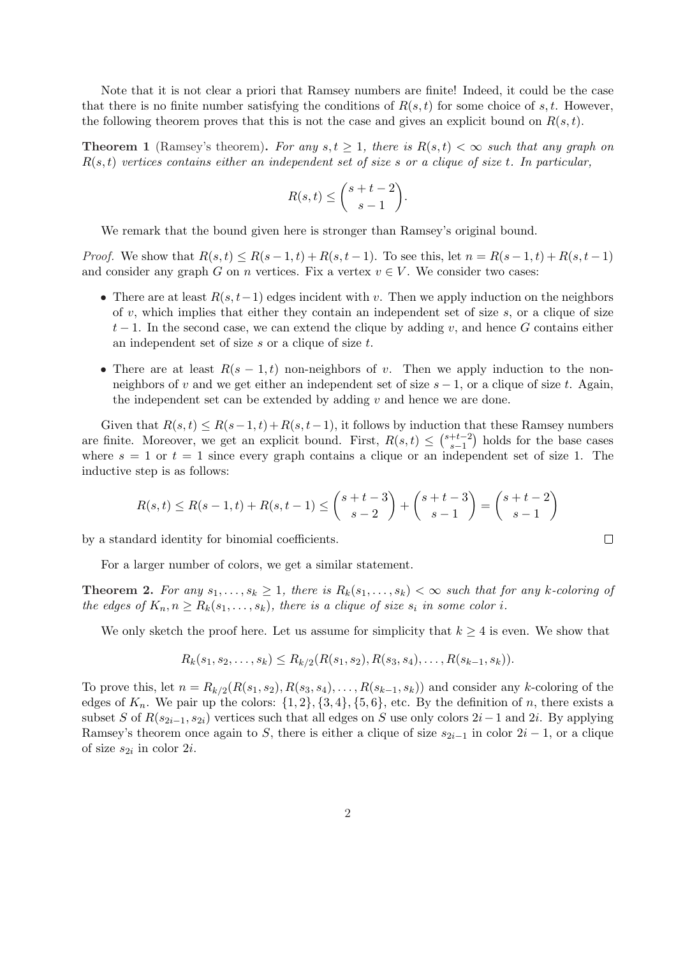Note that it is not clear a priori that Ramsey numbers are finite! Indeed, it could be the case that there is no finite number satisfying the conditions of  $R(s, t)$  for some choice of s, t. However, the following theorem proves that this is not the case and gives an explicit bound on  $R(s, t)$ .

**Theorem 1** (Ramsey's theorem). For any  $s, t \geq 1$ , there is  $R(s,t) < \infty$  such that any graph on  $R(s,t)$  vertices contains either an independent set of size s or a clique of size t. In particular,

$$
R(s,t) \le \binom{s+t-2}{s-1}.
$$

We remark that the bound given here is stronger than Ramsey's original bound.

*Proof.* We show that  $R(s, t) \leq R(s - 1, t) + R(s, t - 1)$ . To see this, let  $n = R(s - 1, t) + R(s, t - 1)$ and consider any graph G on n vertices. Fix a vertex  $v \in V$ . We consider two cases:

- There are at least  $R(s, t-1)$  edges incident with v. Then we apply induction on the neighbors of  $v$ , which implies that either they contain an independent set of size  $s$ , or a clique of size  $t-1$ . In the second case, we can extend the clique by adding v, and hence G contains either an independent set of size s or a clique of size t.
- There are at least  $R(s-1,t)$  non-neighbors of v. Then we apply induction to the nonneighbors of v and we get either an independent set of size  $s - 1$ , or a clique of size t. Again, the independent set can be extended by adding  $v$  and hence we are done.

Given that  $R(s,t) \leq R(s-1,t) + R(s,t-1)$ , it follows by induction that these Ramsey numbers are finite. Moreover, we get an explicit bound. First,  $R(s,t) \leq \binom{s+t-2}{s-1}$  $\binom{+t-2}{s-1}$  holds for the base cases where  $s = 1$  or  $t = 1$  since every graph contains a clique or an independent set of size 1. The inductive step is as follows:

$$
R(s,t) \le R(s-1,t) + R(s,t-1) \le \binom{s+t-3}{s-2} + \binom{s+t-3}{s-1} = \binom{s+t-2}{s-1}
$$

 $\Box$ 

by a standard identity for binomial coefficients.

For a larger number of colors, we get a similar statement.

**Theorem 2.** For any  $s_1, \ldots, s_k \geq 1$ , there is  $R_k(s_1, \ldots, s_k) < \infty$  such that for any k-coloring of the edges of  $K_n, n \geq R_k(s_1, \ldots, s_k)$ , there is a clique of size  $s_i$  in some color i.

We only sketch the proof here. Let us assume for simplicity that  $k \geq 4$  is even. We show that

$$
R_k(s_1, s_2, \ldots, s_k) \leq R_{k/2}(R(s_1, s_2), R(s_3, s_4), \ldots, R(s_{k-1}, s_k)).
$$

To prove this, let  $n = R_{k/2}(R(s_1, s_2), R(s_3, s_4), \ldots, R(s_{k-1}, s_k))$  and consider any k-coloring of the edges of  $K_n$ . We pair up the colors:  $\{1, 2\}, \{3, 4\}, \{5, 6\},$  etc. By the definition of n, there exists a subset S of  $R(s_{2i-1}, s_{2i})$  vertices such that all edges on S use only colors  $2i-1$  and  $2i$ . By applying Ramsey's theorem once again to S, there is either a clique of size  $s_{2i-1}$  in color  $2i-1$ , or a clique of size  $s_{2i}$  in color  $2i$ .